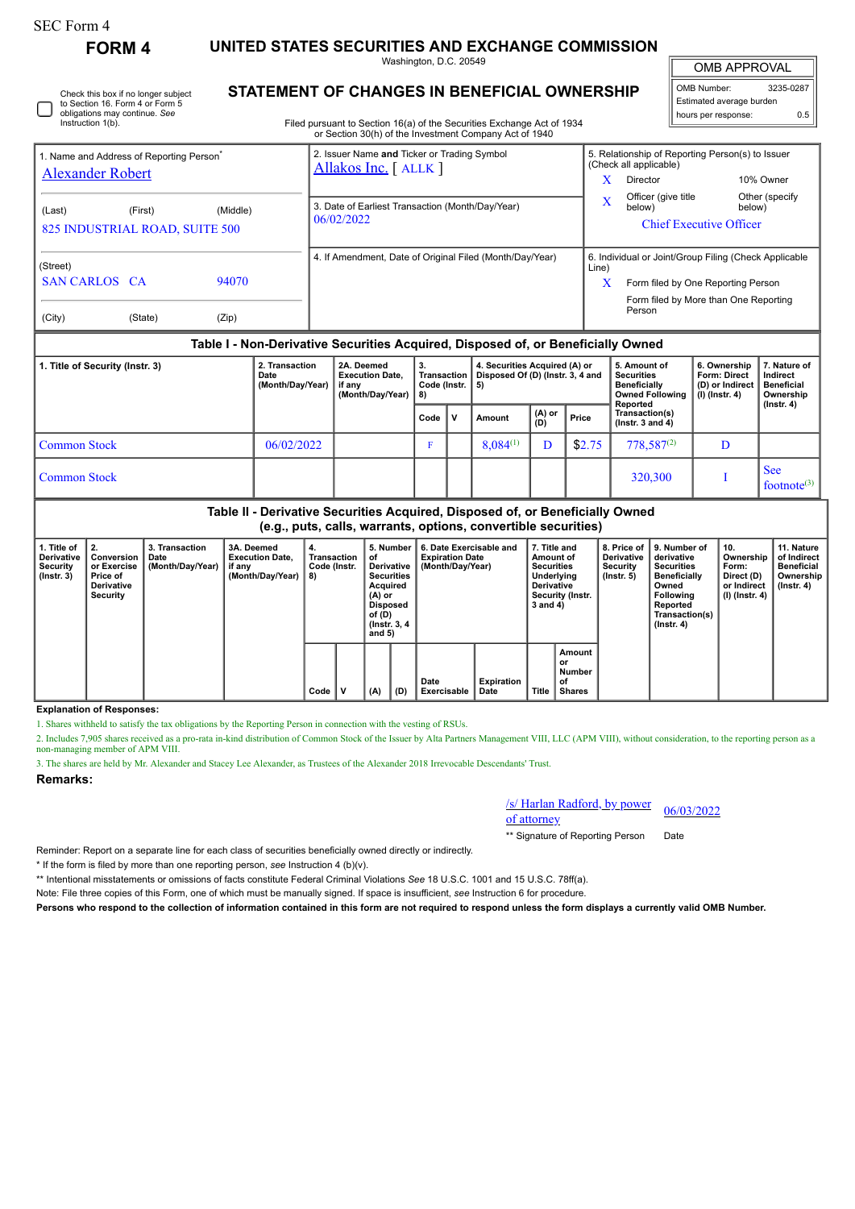| SEC Form 4 |  |
|------------|--|
|------------|--|

П

**FORM 4 UNITED STATES SECURITIES AND EXCHANGE COMMISSION**

Washington, D.C. 20549

OMB APPROVAL

| 3235-0287<br>OMB Number: |  |  |  |  |  |  |  |  |
|--------------------------|--|--|--|--|--|--|--|--|
| Estimated average burden |  |  |  |  |  |  |  |  |
| hours per response:      |  |  |  |  |  |  |  |  |

| Check this box if no longer subject<br>to Section 16. Form 4 or Form 5 |  |
|------------------------------------------------------------------------|--|
| obligations may continue. See<br>Instruction 1(b).                     |  |

# **STATEMENT OF CHANGES IN BENEFICIAL OWNERSHIP**

Filed pursuant to Section 16(a) of the Securities Exchange Act of 1934 or Section 30(h) of the Investment Company Act of 1940

| 1. Name and Address of Reporting Person <sup>®</sup><br><b>Alexander Robert</b> |         |          |  |  | 2. Issuer Name and Ticker or Trading Symbol<br>Allakos Inc. [ALLK] |                                                |                                                                                  | 5. Relationship of Reporting Person(s) to Issuer<br>(Check all applicable)<br>X<br>10% Owner<br>Director |                                                                                                                                      |                                                                          |                                                                   |  |
|---------------------------------------------------------------------------------|---------|----------|--|--|--------------------------------------------------------------------|------------------------------------------------|----------------------------------------------------------------------------------|----------------------------------------------------------------------------------------------------------|--------------------------------------------------------------------------------------------------------------------------------------|--------------------------------------------------------------------------|-------------------------------------------------------------------|--|
| (Last)<br>825 INDUSTRIAL ROAD, SUITE 500                                        | (First) | (Middle) |  |  | 3. Date of Earliest Transaction (Month/Day/Year)<br>06/02/2022     |                                                |                                                                                  |                                                                                                          | Officer (give title<br>below)                                                                                                        | below)<br><b>Chief Executive Officer</b>                                 | Other (specify)                                                   |  |
| (Street)<br><b>SAN CARLOS CA</b>                                                |         | 94070    |  |  |                                                                    |                                                | 4. If Amendment, Date of Original Filed (Month/Day/Year)                         | Line)<br>X                                                                                               | 6. Individual or Joint/Group Filing (Check Applicable<br>Form filed by One Reporting Person<br>Form filed by More than One Reporting |                                                                          |                                                                   |  |
| (City)                                                                          | (State) | (Zip)    |  |  |                                                                    |                                                | Table I - Non-Derivative Securities Acquired, Disposed of, or Beneficially Owned |                                                                                                          | Person                                                                                                                               |                                                                          |                                                                   |  |
| 2. Transaction<br>1. Title of Security (Instr. 3)<br>Date<br>(Month/Day/Year)   |         |          |  |  | 2A. Deemed<br><b>Execution Date.</b><br>if any<br>(Month/Day/Year) | 3.<br><b>Transaction</b><br>Code (Instr.<br>8) | 4. Securities Acquired (A) or<br>Disposed Of (D) (Instr. 3, 4 and<br>5)          |                                                                                                          | 5. Amount of<br><b>Securities</b><br>Beneficially<br><b>Owned Following</b><br>Reported                                              | 6. Ownership<br><b>Form: Direct</b><br>(D) or Indirect<br>(I) (Instr. 4) | 7. Nature of<br>Indirect<br>Beneficial<br>Ownership<br>(Instr. 4) |  |

|                     |            | (Month/Day/Year)   8) |        |              |               |               |        | Owned Following   (i) (instr. 4)<br>Reported | Ownersnip<br>(Instr. 4)               |
|---------------------|------------|-----------------------|--------|--------------|---------------|---------------|--------|----------------------------------------------|---------------------------------------|
|                     |            |                       | Code I | $\mathbf{v}$ | Amount        | (A) or<br>(D) | Price  | Transaction(s)<br>( $lnstr. 3 and 4$ )       |                                       |
| <b>Common Stock</b> | 06/02/2022 |                       |        |              | $8,084^{(1)}$ | D             | \$2.75 | $778,587^{(2)}$                              |                                       |
| <b>Common Stock</b> |            |                       |        |              |               |               |        | 320,300                                      | <b>See</b><br>footnote <sup>(3)</sup> |

**Table II - Derivative Securities Acquired, Disposed of, or Beneficially Owned (e.g., puts, calls, warrants, options, convertible securities)**

| 1. Title of<br><b>Derivative</b><br>Security<br>$($ lnstr. 3 $)$ | 2.<br>Conversion<br>or Exercise<br>Price of<br><b>Derivative</b><br>Security | 3. Transaction<br>Date<br>(Month/Day/Year)   if any | 3A. Deemed<br><b>Execution Date.</b><br>(Month/Day/Year) | 4.<br>Transaction<br>Code (Instr.<br>8) |  | 5. Number<br>οf<br>Derivative<br><b>Securities</b><br>Acquired<br>$(A)$ or<br>Disposed<br>of (D)<br>(Instr. 3, 4)<br>and $5)$<br>(A)<br>(D) |  | 6. Date Exercisable and<br><b>Expiration Date</b><br>(Month/Dav/Year) | 7. Title and<br>Amount of<br><b>Securities</b><br>Underlying<br><b>Derivative</b><br>Security (Instr.<br>3 and 4) |              | 8. Price of<br><b>Derivative</b><br>Security<br>$($ lnstr. 5 $)$ | 9. Number of<br>derivative<br>Securities<br><b>Beneficially</b><br>Owned<br>Following<br>Reported<br>Transaction(s)<br>$($ Instr. 4 $)$ | 10.<br>Ownership<br>Form:<br>Direct (D)<br>or Indirect<br>  (I) (Instr. 4) | 11. Nature<br>of Indirect<br><b>Beneficial</b><br>Ownership<br>$($ lnstr. 4 $)$ |  |
|------------------------------------------------------------------|------------------------------------------------------------------------------|-----------------------------------------------------|----------------------------------------------------------|-----------------------------------------|--|---------------------------------------------------------------------------------------------------------------------------------------------|--|-----------------------------------------------------------------------|-------------------------------------------------------------------------------------------------------------------|--------------|------------------------------------------------------------------|-----------------------------------------------------------------------------------------------------------------------------------------|----------------------------------------------------------------------------|---------------------------------------------------------------------------------|--|
|                                                                  |                                                                              |                                                     |                                                          | Code                                    |  |                                                                                                                                             |  | Date<br><b>Exercisable</b>                                            | Expiration<br>Date                                                                                                | <b>Title</b> | Amount<br>or<br>Number<br>of<br><b>Shares</b>                    |                                                                                                                                         |                                                                            |                                                                                 |  |

## **Explanation of Responses:**

1. Shares withheld to satisfy the tax obligations by the Reporting Person in connection with the vesting of RSUs.

2. Includes 7,905 shares received as a pro-rata in-kind distribution of Common Stock of the Issuer by Alta Partners Management VIII, LLC (APM VIII), without consideration, to the reporting person as a non-managing member of APM VIII.

3. The shares are held by Mr. Alexander and Stacey Lee Alexander, as Trustees of the Alexander 2018 Irrevocable Descendants' Trust.

### **Remarks:**

/s/ Harlan Radford, by power of attorney 06/03/2022

\*\* Signature of Reporting Person Date

Reminder: Report on a separate line for each class of securities beneficially owned directly or indirectly.

\* If the form is filed by more than one reporting person, *see* Instruction 4 (b)(v).

\*\* Intentional misstatements or omissions of facts constitute Federal Criminal Violations *See* 18 U.S.C. 1001 and 15 U.S.C. 78ff(a).

Note: File three copies of this Form, one of which must be manually signed. If space is insufficient, *see* Instruction 6 for procedure.

**Persons who respond to the collection of information contained in this form are not required to respond unless the form displays a currently valid OMB Number.**